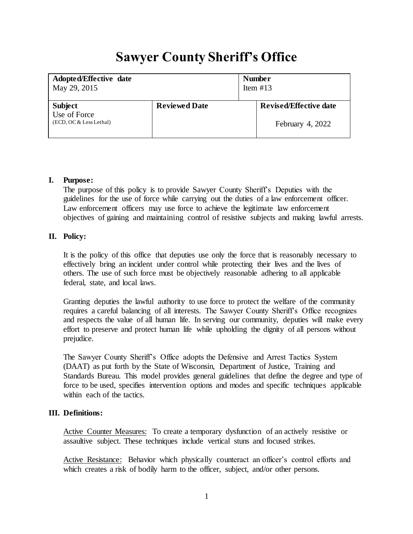# **Sawyer County Sheriff's Office**

| Adopted/Effective date                                    |                      | <b>Number</b> |                                                   |
|-----------------------------------------------------------|----------------------|---------------|---------------------------------------------------|
| May 29, 2015                                              |                      | Item $#13$    |                                                   |
| <b>Subject</b><br>Use of Force<br>(ECD, OC & Less Lethal) | <b>Reviewed Date</b> |               | <b>Revised/Effective date</b><br>February 4, 2022 |

## **I. Purpose:**

The purpose of this policy is to provide Sawyer County Sheriff's Deputies with the guidelines for the use of force while carrying out the duties of a law enforcement officer. Law enforcement officers may use force to achieve the legitimate law enforcement objectives of gaining and maintaining control of resistive subjects and making lawful arrests.

## **II. Policy:**

It is the policy of this office that deputies use only the force that is reasonably necessary to effectively bring an incident under control while protecting their lives and the lives of others. The use of such force must be objectively reasonable adhering to all applicable federal, state, and local laws.

Granting deputies the lawful authority to use force to protect the welfare of the community requires a careful balancing of all interests. The Sawyer County Sheriff's Office recognizes and respects the value of all human life. In serving our community, deputies will make every effort to preserve and protect human life while upholding the dignity of all persons without prejudice.

The Sawyer County Sheriff's Office adopts the Defensive and Arrest Tactics System (DAAT) as put forth by the State of Wisconsin, Department of Justice, Training and Standards Bureau. This model provides general guidelines that define the degree and type of force to be used, specifies intervention options and modes and specific techniques applicable within each of the tactics.

# **III. Definitions:**

Active Counter Measures: To create a temporary dysfunction of an actively resistive or assaultive subject. These techniques include vertical stuns and focused strikes.

Active Resistance: Behavior which physically counteract an officer's control efforts and which creates a risk of bodily harm to the officer, subject, and/or other persons.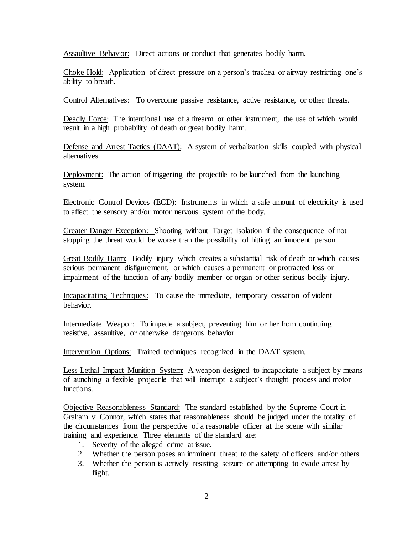Assaultive Behavior: Direct actions or conduct that generates bodily harm.

Choke Hold: Application of direct pressure on a person's trachea or airway restricting one's ability to breath.

Control Alternatives: To overcome passive resistance, active resistance, or other threats.

Deadly Force: The intentional use of a firearm or other instrument, the use of which would result in a high probability of death or great bodily harm.

Defense and Arrest Tactics (DAAT): A system of verbalization skills coupled with physical alternatives.

Deployment: The action of triggering the projectile to be launched from the launching system.

Electronic Control Devices (ECD): Instruments in which a safe amount of electricity is used to affect the sensory and/or motor nervous system of the body.

Greater Danger Exception: Shooting without Target Isolation if the consequence of not stopping the threat would be worse than the possibility of hitting an innocent person.

Great Bodily Harm: Bodily injury which creates a substantial risk of death or which causes serious permanent disfigurement, or which causes a permanent or protracted loss or impairment of the function of any bodily member or organ or other serious bodily injury.

Incapacitating Techniques: To cause the immediate, temporary cessation of violent behavior.

Intermediate Weapon: To impede a subject, preventing him or her from continuing resistive, assaultive, or otherwise dangerous behavior.

Intervention Options: Trained techniques recognized in the DAAT system.

Less Lethal Impact Munition System: A weapon designed to incapacitate a subject by means of launching a flexible projectile that will interrupt a subject's thought process and motor functions.

Objective Reasonableness Standard: The standard established by the Supreme Court in Graham v. Connor, which states that reasonableness should be judged under the totality of the circumstances from the perspective of a reasonable officer at the scene with similar training and experience. Three elements of the standard are:

- 1. Severity of the alleged crime at issue.
- 2. Whether the person poses an imminent threat to the safety of officers and/or others.
- 3. Whether the person is actively resisting seizure or attempting to evade arrest by flight.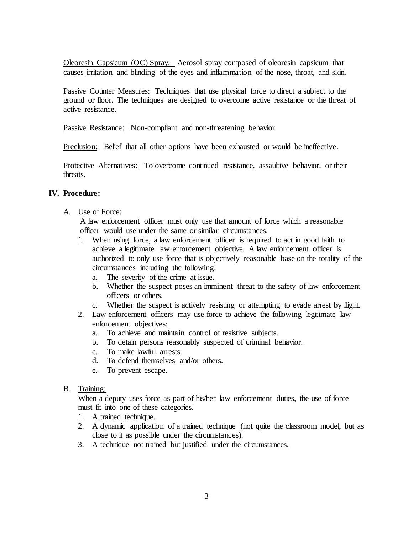Oleoresin Capsicum (OC) Spray: Aerosol spray composed of oleoresin capsicum that causes irritation and blinding of the eyes and inflammation of the nose, throat, and skin.

Passive Counter Measures: Techniques that use physical force to direct a subject to the ground or floor. The techniques are designed to overcome active resistance or the threat of active resistance.

Passive Resistance: Non-compliant and non-threatening behavior.

Preclusion: Belief that all other options have been exhausted or would be ineffective.

Protective Alternatives: To overcome continued resistance, assaultive behavior, or their threats.

## **IV. Procedure:**

#### A. Use of Force:

A law enforcement officer must only use that amount of force which a reasonable officer would use under the same or similar circumstances.

- 1. When using force, a law enforcement officer is required to act in good faith to achieve a legitimate law enforcement objective. A law enforcement officer is authorized to only use force that is objectively reasonable base on the totality of the circumstances including the following:
	- a. The severity of the crime at issue.
	- b. Whether the suspect poses an imminent threat to the safety of law enforcement officers or others.
	- c. Whether the suspect is actively resisting or attempting to evade arrest by flight.
- 2. Law enforcement officers may use force to achieve the following legitimate law enforcement objectives:
	- a. To achieve and maintain control of resistive subjects.
	- b. To detain persons reasonably suspected of criminal behavior.
	- c. To make lawful arrests.
	- d. To defend themselves and/or others.
	- e. To prevent escape.

#### B. Training:

When a deputy uses force as part of his/her law enforcement duties, the use of force must fit into one of these categories.

- 1. A trained technique.
- 2. A dynamic application of a trained technique (not quite the classroom model, but as close to it as possible under the circumstances).
- 3. A technique not trained but justified under the circumstances.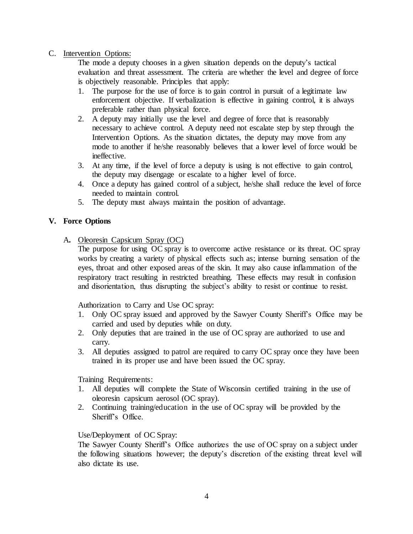## C. Intervention Options:

The mode a deputy chooses in a given situation depends on the deputy's tactical evaluation and threat assessment. The criteria are whether the level and degree of force is objectively reasonable. Principles that apply:

- 1. The purpose for the use of force is to gain control in pursuit of a legitimate law enforcement objective. If verbalization is effective in gaining control, it is always preferable rather than physical force.
- 2. A deputy may initially use the level and degree of force that is reasonably necessary to achieve control. A deputy need not escalate step by step through the Intervention Options. As the situation dictates, the deputy may move from any mode to another if he/she reasonably believes that a lower level of force would be ineffective.
- 3. At any time, if the level of force a deputy is using is not effective to gain control, the deputy may disengage or escalate to a higher level of force.
- 4. Once a deputy has gained control of a subject, he/she shall reduce the level of force needed to maintain control.
- 5. The deputy must always maintain the position of advantage.

## **V. Force Options**

A**.** Oleoresin Capsicum Spray (OC)

The purpose for using OC spray is to overcome active resistance or its threat. OC spray works by creating a variety of physical effects such as; intense burning sensation of the eyes, throat and other exposed areas of the skin. It may also cause inflammation of the respiratory tract resulting in restricted breathing. These effects may result in confusion and disorientation, thus disrupting the subject's ability to resist or continue to resist.

Authorization to Carry and Use OC spray:

- 1. Only OC spray issued and approved by the Sawyer County Sheriff's Office may be carried and used by deputies while on duty.
- 2. Only deputies that are trained in the use of OC spray are authorized to use and carry.
- 3. All deputies assigned to patrol are required to carry OC spray once they have been trained in its proper use and have been issued the OC spray.

Training Requirements:

- 1. All deputies will complete the State of Wisconsin certified training in the use of oleoresin capsicum aerosol (OC spray).
- 2. Continuing training/education in the use of OC spray will be provided by the Sheriff's Office.

## Use/Deployment of OC Spray:

The Sawyer County Sheriff's Office authorizes the use of OC spray on a subject under the following situations however; the deputy's discretion of the existing threat level will also dictate its use.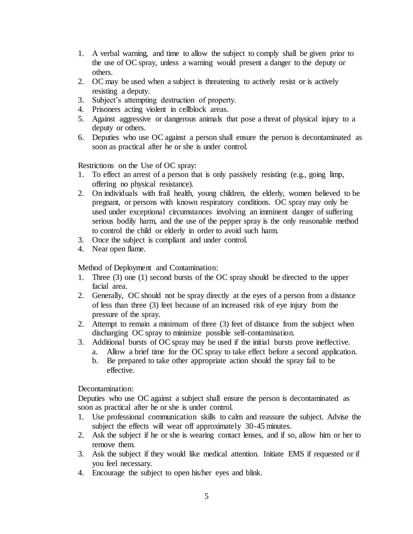- 1. A verbal warning, and time to allow the subject to comply shall be given prior to the use of OC spray, unless a warning would present a danger to the deputy or others.
- 2. OC may be used when a subject is threatening to actively resist or is actively resisting a deputy.
- 3. Subject's attempting destruction of property.
- 4. Prisoners acting violent in cellblock areas.
- 5. Against aggressive or dangerous animals that pose a threat of physical injury to a deputy or others.
- 6. Deputies who use OC against a person shall ensure the person is decontaminated as soon as practical after he or she is under control.

Restrictions on the Use of OC spray:

- 1. To effect an arrest of a person that is only passively resisting (e.g., going limp, offering no physical resistance).
- 2. On individuals with frail health, young children, the elderly, women believed to be pregnant, or persons with known respiratory conditions. OC spray may only be used under exceptional circumstances involving an imminent danger of suffering serious bodily harm, and the use of the pepper spray is the only reasonable method to control the child or elderly in order to avoid such harm.
- 3. Once the subject is compliant and under control.
- 4. Near open flame.

Method of Deployment and Contamination:

- 1. Three (3) one (1) second bursts of the OC spray should be directed to the upper facial area.
- 2. Generally, OC should not be spray directly at the eyes of a person from a distance of less than three (3) feet because of an increased risk of eye injury from the pressure of the spray.
- 2. Attempt to remain a minimum of three (3) feet of distance from the subject when discharging OC spray to minimize possible self-contamination.
- 3. Additional bursts of OC spray may be used if the initial bursts prove ineffective.
	- a. Allow a brief time for the OC spray to take effect before a second application.
	- b. Be prepared to take other appropriate action should the spray fail to be effective.

Decontamination:

Deputies who use OC against a subject shall ensure the person is decontaminated as soon as practical after he or she is under control.

- 1. Use professional communication skills to calm and reassure the subject. Advise the subject the effects will wear off approximately 30-45 minutes.
- 2. Ask the subject if he or she is wearing contact lenses, and if so, allow him or her to remove them.
- 3. Ask the subject if they would like medical attention. Initiate EMS if requested or if you feel necessary.
- 4. Encourage the subject to open his/her eyes and blink.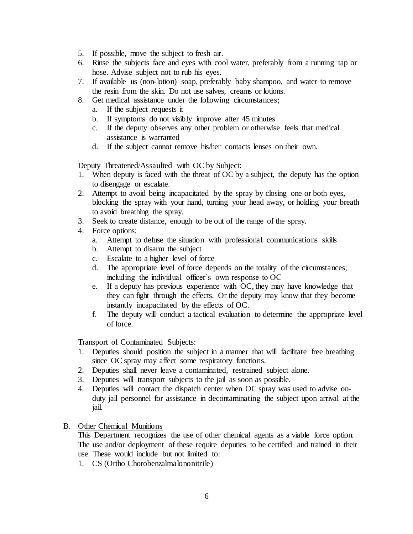- 5. If possible, move the subject to fresh air.
- 6. Rinse the subjects face and eyes with cool water, preferably from a running tap or hose. Advise subject not to rub his eyes.
- 7. If available us (non-lotion) soap, preferably baby shampoo, and water to remove the resin from the skin. Do not use salves, creams or lotions.
- 8. Get medical assistance under the following circumstances;
	- a. If the subject requests it
	- b. If symptoms do not visibly improve after 45 minutes
	- c. If the deputy observes any other problem or otherwise feels that medical assistance is warranted
	- d. If the subject cannot remove his/her contacts lenses on their own.

Deputy Threatened/Assaulted with OC by Subject:

- 1. When deputy is faced with the threat of OC by a subject, the deputy has the option to disengage or escalate.
- 2. Attempt to avoid being incapacitated by the spray by closing one or both eyes, blocking the spray with your hand, turning your head away, or holding your breath to avoid breathing the spray.
- 3. Seek to create distance, enough to be out of the range of the spray.
- 4. Force options:
	- a. Attempt to defuse the situation with professional communications skills
	- b. Attempt to disarm the subject
	- c. Escalate to a higher level of force
	- d. The appropriate level of force depends on the totality of the circumstances; including the individual officer's own response to OC
	- e. If a deputy has previous experience with OC, they may have knowledge that they can fight through the effects. Or the deputy may know that they become instantly incapacitated by the effects of OC.
	- f. The deputy will conduct a tactical evaluation to determine the appropriate level of force.

Transport of Contaminated Subjects:

- 1. Deputies should position the subject in a manner that will facilitate free breathing since OC spray may affect some respiratory functions.
- 2. Deputies shall never leave a contaminated, restrained subject alone.
- 3. Deputies will transport subjects to the jail as soon as possible.
- 4. Deputies will contact the dispatch center when OC spray was used to advise onduty jail personnel for assistance in decontaminating the subject upon arrival at the jail.
- B. Other Chemical Munitions

This Department recognizes the use of other chemical agents as a viable force option. The use and/or deployment of these require deputies to be certified and trained in their use. These would include but not limited to:

1. CS (Ortho Chorobenzalmalononitrile)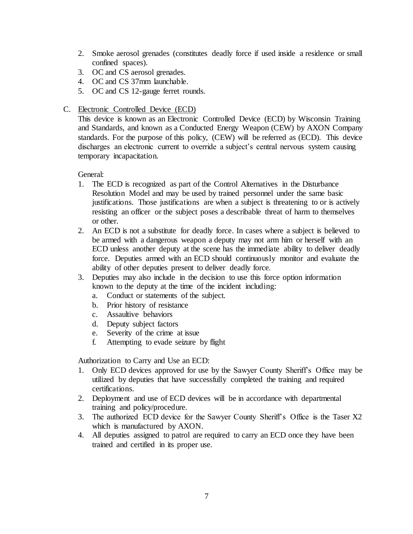- 2. Smoke aerosol grenades (constitutes deadly force if used inside a residence or small confined spaces).
- 3. OC and CS aerosol grenades.
- 4. OC and CS 37mm launchable.
- 5. OC and CS 12-gauge ferret rounds.
- C. Electronic Controlled Device (ECD)

This device is known as an Electronic Controlled Device (ECD) by Wisconsin Training and Standards, and known as a Conducted Energy Weapon (CEW) by AXON Company standards. For the purpose of this policy, (CEW) will be referred as (ECD). This device discharges an electronic current to override a subject's central nervous system causing temporary incapacitation.

General:

- 1. The ECD is recognized as part of the Control Alternatives in the Disturbance Resolution Model and may be used by trained personnel under the same basic justifications. Those justifications are when a subject is threatening to or is actively resisting an officer or the subject poses a describable threat of harm to themselves or other.
- 2. An ECD is not a substitute for deadly force. In cases where a subject is believed to be armed with a dangerous weapon a deputy may not arm him or herself with an ECD unless another deputy at the scene has the immediate ability to deliver deadly force. Deputies armed with an ECD should continuously monitor and evaluate the ability of other deputies present to deliver deadly force.
- 3. Deputies may also include in the decision to use this force option information known to the deputy at the time of the incident including:
	- a. Conduct or statements of the subject.
	- b. Prior history of resistance
	- c. Assaultive behaviors
	- d. Deputy subject factors
	- e. Severity of the crime at issue
	- f. Attempting to evade seizure by flight

Authorization to Carry and Use an ECD:

- 1. Only ECD devices approved for use by the Sawyer County Sheriff's Office may be utilized by deputies that have successfully completed the training and required certifications.
- 2. Deployment and use of ECD devices will be in accordance with departmental training and policy/procedure.
- 3. The authorized ECD device for the Sawyer County Sheriff's Office is the Taser X2 which is manufactured by AXON.
- 4. All deputies assigned to patrol are required to carry an ECD once they have been trained and certified in its proper use.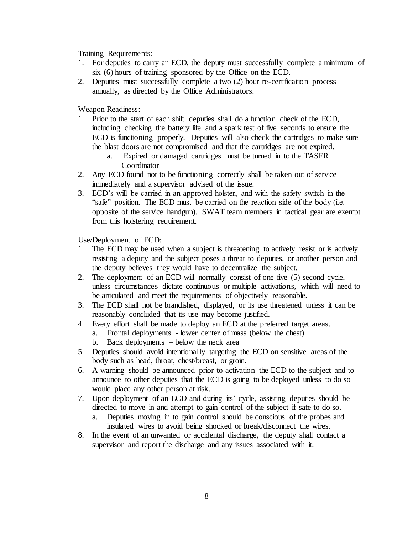Training Requirements:

- 1. For deputies to carry an ECD, the deputy must successfully complete a minimum of six (6) hours of training sponsored by the Office on the ECD.
- 2. Deputies must successfully complete a two (2) hour re-certification process annually, as directed by the Office Administrators.

Weapon Readiness:

- 1. Prior to the start of each shift deputies shall do a function check of the ECD, including checking the battery life and a spark test of five seconds to ensure the ECD is functioning properly. Deputies will also check the cartridges to make sure the blast doors are not compromised and that the cartridges are not expired.
	- a. Expired or damaged cartridges must be turned in to the TASER Coordinator
- 2. Any ECD found not to be functioning correctly shall be taken out of service immediately and a supervisor advised of the issue.
- 3. ECD's will be carried in an approved holster, and with the safety switch in the "safe" position. The ECD must be carried on the reaction side of the body (i.e. opposite of the service handgun). SWAT team members in tactical gear are exempt from this holstering requirement.

Use/Deployment of ECD:

- 1. The ECD may be used when a subject is threatening to actively resist or is actively resisting a deputy and the subject poses a threat to deputies, or another person and the deputy believes they would have to decentralize the subject.
- 2. The deployment of an ECD will normally consist of one five (5) second cycle, unless circumstances dictate continuous or multiple activations, which will need to be articulated and meet the requirements of objectively reasonable.
- 3. The ECD shall not be brandished, displayed, or its use threatened unless it can be reasonably concluded that its use may become justified.
- 4. Every effort shall be made to deploy an ECD at the preferred target areas.
	- a. Frontal deployments lower center of mass (below the chest)
	- b. Back deployments below the neck area
- 5. Deputies should avoid intentionally targeting the ECD on sensitive areas of the body such as head, throat, chest/breast, or groin.
- 6. A warning should be announced prior to activation the ECD to the subject and to announce to other deputies that the ECD is going to be deployed unless to do so would place any other person at risk.
- 7. Upon deployment of an ECD and during its' cycle, assisting deputies should be directed to move in and attempt to gain control of the subject if safe to do so.
	- a. Deputies moving in to gain control should be conscious of the probes and insulated wires to avoid being shocked or break/disconnect the wires.
- 8. In the event of an unwanted or accidental discharge, the deputy shall contact a supervisor and report the discharge and any issues associated with it.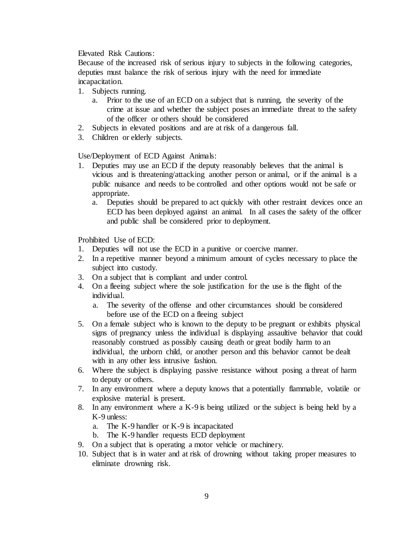Elevated Risk Cautions:

Because of the increased risk of serious injury to subjects in the following categories, deputies must balance the risk of serious injury with the need for immediate incapacitation.

- 1. Subjects running.
	- a. Prior to the use of an ECD on a subject that is running, the severity of the crime at issue and whether the subject poses an immediate threat to the safety of the officer or others should be considered
- 2. Subjects in elevated positions and are at risk of a dangerous fall.
- 3. Children or elderly subjects.

Use/Deployment of ECD Against Animals:

- 1. Deputies may use an ECD if the deputy reasonably believes that the animal is vicious and is threatening/attacking another person or animal, or if the animal is a public nuisance and needs to be controlled and other options would not be safe or appropriate.
	- a. Deputies should be prepared to act quickly with other restraint devices once an ECD has been deployed against an animal. In all cases the safety of the officer and public shall be considered prior to deployment.

Prohibited Use of ECD:

- 1. Deputies will not use the ECD in a punitive or coercive manner.
- 2. In a repetitive manner beyond a minimum amount of cycles necessary to place the subject into custody.
- 3. On a subject that is compliant and under control.
- 4. On a fleeing subject where the sole justification for the use is the flight of the individual.
	- a. The severity of the offense and other circumstances should be considered before use of the ECD on a fleeing subject
- 5. On a female subject who is known to the deputy to be pregnant or exhibits physical signs of pregnancy unless the individual is displaying assaultive behavior that could reasonably construed as possibly causing death or great bodily harm to an individual, the unborn child, or another person and this behavior cannot be dealt with in any other less intrusive fashion.
- 6. Where the subject is displaying passive resistance without posing a threat of harm to deputy or others.
- 7. In any environment where a deputy knows that a potentially flammable, volatile or explosive material is present.
- 8. In any environment where a K-9 is being utilized or the subject is being held by a K-9 unless:
	- a. The K-9 handler or K-9 is incapacitated
	- b. The K-9 handler requests ECD deployment
- 9. On a subject that is operating a motor vehicle or machinery.
- 10. Subject that is in water and at risk of drowning without taking proper measures to eliminate drowning risk.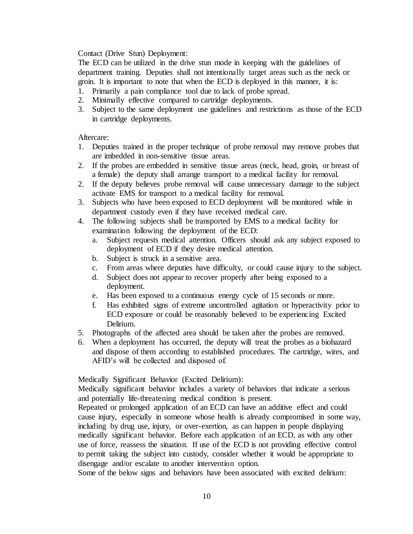Contact (Drive Stun) Deployment:

The ECD can be utilized in the drive stun mode in keeping with the guidelines of department training. Deputies shall not intentionally target areas such as the neck or groin. It is important to note that when the ECD is deployed in this manner, it is:

- 1. Primarily a pain compliance tool due to lack of probe spread.
- 2. Minimally effective compared to cartridge deployments.
- 3. Subject to the same deployment use guidelines and restrictions as those of the ECD in cartridge deployments.

Aftercare:

- 1. Deputies trained in the proper technique of probe removal may remove probes that are imbedded in non-sensitive tissue areas.
- 2. If the probes are embedded in sensitive tissue areas (neck, head, groin, or breast of a female) the deputy shall arrange transport to a medical facility for removal.
- 2. If the deputy believes probe removal will cause unnecessary damage to the subject activate EMS for transport to a medical facility for removal.
- 3. Subjects who have been exposed to ECD deployment will be monitored while in department custody even if they have received medical care.
- 4. The following subjects shall be transported by EMS to a medical facility for examination following the deployment of the ECD:
	- a. Subject requests medical attention. Officers should ask any subject exposed to deployment of ECD if they desire medical attention.
	- b. Subject is struck in a sensitive area.
	- c. From areas where deputies have difficulty, or could cause injury to the subject.
	- d. Subject does not appear to recover properly after being exposed to a deployment.
	- e. Has been exposed to a continuous energy cycle of 15 seconds or more.
	- f. Has exhibited signs of extreme uncontrolled agitation or hyperactivity prior to ECD exposure or could be reasonably believed to be experiencing Excited Delirium.
- 5. Photographs of the affected area should be taken after the probes are removed.
- 6. When a deployment has occurred, the deputy will treat the probes as a biohazard and dispose of them according to established procedures. The cartridge, wires, and AFID's will be collected and disposed of.

Medically Significant Behavior (Excited Delirium):

Medically significant behavior includes a variety of behaviors that indicate a serious and potentially life-threatening medical condition is present.

Repeated or prolonged application of an ECD can have an additive effect and could cause injury, especially in someone whose health is already compromised in some way, including by drug use, injury, or over-exertion, as can happen in people displaying medically significant behavior. Before each application of an ECD, as with any other use of force, reassess the situation. If use of the ECD is not providing effective control to permit taking the subject into custody, consider whether it would be appropriate to disengage and/or escalate to another intervention option.

Some of the below signs and behaviors have been associated with excited delirium: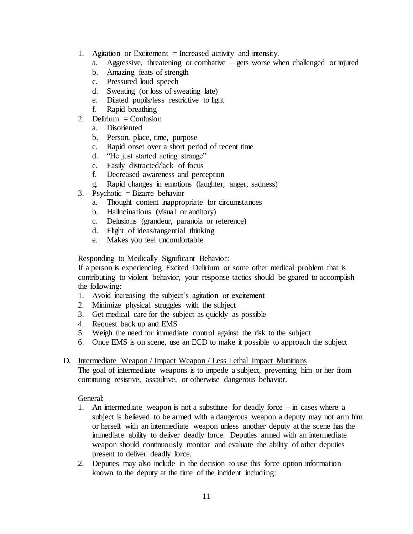- 1. Agitation or Excitement = Increased activity and intensity.
	- a. Aggressive, threatening or combative gets worse when challenged or injured
	- b. Amazing feats of strength
	- c. Pressured loud speech
	- d. Sweating (or loss of sweating late)
	- e. Dilated pupils/less restrictive to light
	- f. Rapid breathing
- 2. Delirium  $=$  Confusion
	- a. Disoriented
	- b. Person, place, time, purpose
	- c. Rapid onset over a short period of recent time
	- d. "He just started acting strange"
	- e. Easily distracted/lack of focus
	- f. Decreased awareness and perception
	- g. Rapid changes in emotions (laughter, anger, sadness)
- 3. Psychotic = Bizarre behavior
	- a. Thought content inappropriate for circumstances
	- b. Hallucinations (visual or auditory)
	- c. Delusions (grandeur, paranoia or reference)
	- d. Flight of ideas/tangential thinking
	- e. Makes you feel uncomfortable

Responding to Medically Significant Behavior:

If a person is experiencing Excited Delirium or some other medical problem that is contributing to violent behavior, your response tactics should be geared to accomplish the following:

- 1. Avoid increasing the subject's agitation or excitement
- 2. Minimize physical struggles with the subject
- 3. Get medical care for the subject as quickly as possible
- 4. Request back up and EMS
- 5. Weigh the need for immediate control against the risk to the subject
- 6. Once EMS is on scene, use an ECD to make it possible to approach the subject
- D. Intermediate Weapon / Impact Weapon / Less Lethal Impact Munitions

The goal of intermediate weapons is to impede a subject, preventing him or her from continuing resistive, assaultive, or otherwise dangerous behavior.

General:

- 1. An intermediate weapon is not a substitute for deadly force in cases where a subject is believed to be armed with a dangerous weapon a deputy may not arm him or herself with an intermediate weapon unless another deputy at the scene has the immediate ability to deliver deadly force. Deputies armed with an intermediate weapon should continuously monitor and evaluate the ability of other deputies present to deliver deadly force.
- 2. Deputies may also include in the decision to use this force option information known to the deputy at the time of the incident including: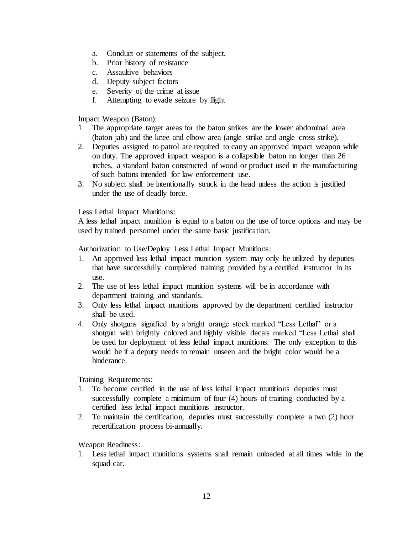- a. Conduct or statements of the subject.
- b. Prior history of resistance
- c. Assaultive behaviors
- d. Deputy subject factors
- e. Severity of the crime at issue
- f. Attempting to evade seizure by flight

Impact Weapon (Baton):

- 1. The appropriate target areas for the baton strikes are the lower abdominal area (baton jab) and the knee and elbow area (angle strike and angle cross strike).
- 2. Deputies assigned to patrol are required to carry an approved impact weapon while on duty. The approved impact weapon is a collapsible baton no longer than 26 inches, a standard baton constructed of wood or product used in the manufacturing of such batons intended for law enforcement use.
- 3. No subject shall be intentionally struck in the head unless the action is justified under the use of deadly force.

Less Lethal Impact Munitions:

A less lethal impact munition is equal to a baton on the use of force options and may be used by trained personnel under the same basic justification.

Authorization to Use/Deploy Less Lethal Impact Munitions:

- 1. An approved less lethal impact munition system may only be utilized by deputies that have successfully completed training provided by a certified instructor in its use.
- 2. The use of less lethal impact munition systems will be in accordance with department training and standards.
- 3. Only less lethal impact munitions approved by the department certified instructor shall be used.
- 4. Only shotguns signified by a bright orange stock marked "Less Lethal" or a shotgun with brightly colored and highly visible decals marked "Less Lethal shall be used for deployment of less lethal impact munitions. The only exception to this would be if a deputy needs to remain unseen and the bright color would be a hinderance.

Training Requirements:

- 1. To become certified in the use of less lethal impact munitions deputies must successfully complete a minimum of four (4) hours of training conducted by a certified less lethal impact munitions instructor.
- 2. To maintain the certification, deputies must successfully complete a two (2) hour recertification process bi-annually.

Weapon Readiness:

1. Less lethal impact munitions systems shall remain unloaded at all times while in the squad car.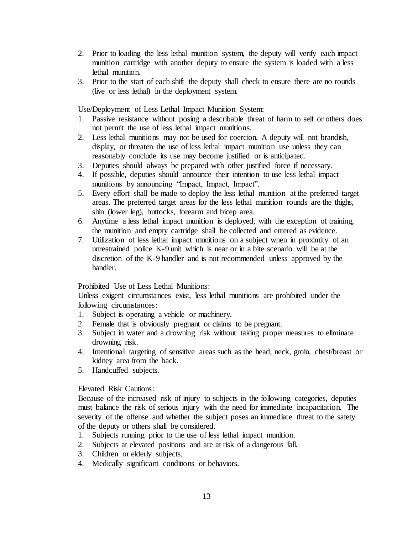- 2. Prior to loading the less lethal munition system, the deputy will verify each impact munition cartridge with another deputy to ensure the system is loaded with a less lethal munition.
- 3. Prior to the start of each shift the deputy shall check to ensure there are no rounds (live or less lethal) in the deployment system.

Use/Deployment of Less Lethal Impact Munition System:

- 1. Passive resistance without posing a describable threat of harm to self or others does not permit the use of less lethal impact munitions.
- 2. Less lethal munitions may not be used for coercion. A deputy will not brandish, display, or threaten the use of less lethal impact munition use unless they can reasonably conclude its use may become justified or is anticipated.
- 3. Deputies should always be prepared with other justified force if necessary.
- 4. If possible, deputies should announce their intention to use less lethal impact munitions by announcing "Impact, Impact, Impact".
- 5. Every effort shall be made to deploy the less lethal munition at the preferred target areas. The preferred target areas for the less lethal munition rounds are the thighs, shin (lower leg), buttocks, forearm and bicep area.
- 6. Anytime a less lethal impact munition is deployed, with the exception of training, the munition and empty cartridge shall be collected and entered as evidence.
- 7. Utilization of less lethal impact munitions on a subject when in proximity of an unrestrained police K-9 unit which is near or in a bite scenario will be at the discretion of the K-9 handler and is not recommended unless approved by the handler.

Prohibited Use of Less Lethal Munitions:

Unless exigent circumstances exist, less lethal munitions are prohibited under the following circumstances:

- 1. Subject is operating a vehicle or machinery.
- 2. Female that is obviously pregnant or claims to be pregnant.
- 3. Subject in water and a drowning risk without taking proper measures to eliminate drowning risk.
- 4. Intentional targeting of sensitive areas such as the head, neck, groin, chest/breast or kidney area from the back.
- 5. Handcuffed subjects.

Elevated Risk Cautions:

Because of the increased risk of injury to subjects in the following categories, deputies must balance the risk of serious injury with the need for immediate incapacitation. The severity of the offense and whether the subject poses an immediate threat to the safety of the deputy or others shall be considered.

- 1. Subjects running prior to the use of less lethal impact munition.
- 2. Subjects at elevated positions and are at risk of a dangerous fall.
- 3. Children or elderly subjects.
- 4. Medically significant conditions or behaviors.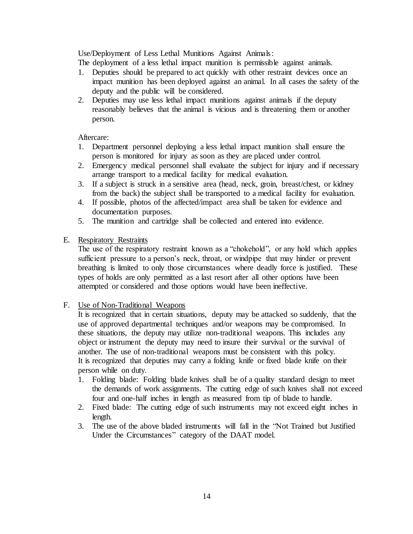Use/Deployment of Less Lethal Munitions Against Animals:

The deployment of a less lethal impact munition is permissible against animals.

- 1. Deputies should be prepared to act quickly with other restraint devices once an impact munition has been deployed against an animal. In all cases the safety of the deputy and the public will be considered.
- 2. Deputies may use less lethal impact munitions against animals if the deputy reasonably believes that the animal is vicious and is threatening them or another person.

## Aftercare:

- 1. Department personnel deploying a less lethal impact munition shall ensure the person is monitored for injury as soon as they are placed under control.
- 2. Emergency medical personnel shall evaluate the subject for injury and if necessary arrange transport to a medical facility for medical evaluation.
- 3. If a subject is struck in a sensitive area (head, neck, groin, breast/chest, or kidney from the back) the subject shall be transported to a medical facility for evaluation.
- 4. If possible, photos of the affected/impact area shall be taken for evidence and documentation purposes.
- 5. The munition and cartridge shall be collected and entered into evidence.
- E. Respiratory Restraints

The use of the respiratory restraint known as a "chokehold", or any hold which applies sufficient pressure to a person's neck, throat, or windpipe that may hinder or prevent breathing is limited to only those circumstances where deadly force is justified. These types of holds are only permitted as a last resort after all other options have been attempted or considered and those options would have been ineffective.

## F. Use of Non-Traditional Weapons

It is recognized that in certain situations, deputy may be attacked so suddenly, that the use of approved departmental techniques and/or weapons may be compromised. In these situations, the deputy may utilize non-traditional weapons. This includes any object or instrument the deputy may need to insure their survival or the survival of another. The use of non-traditional weapons must be consistent with this policy. It is recognized that deputies may carry a folding knife or fixed blade knife on their person while on duty.

- 1. Folding blade: Folding blade knives shall be of a quality standard design to meet the demands of work assignments. The cutting edge of such knives shall not exceed four and one-half inches in length as measured from tip of blade to handle.
- 2. Fixed blade: The cutting edge of such instruments may not exceed eight inches in length.
- 3. The use of the above bladed instruments will fall in the "Not Trained but Justified Under the Circumstances" category of the DAAT model.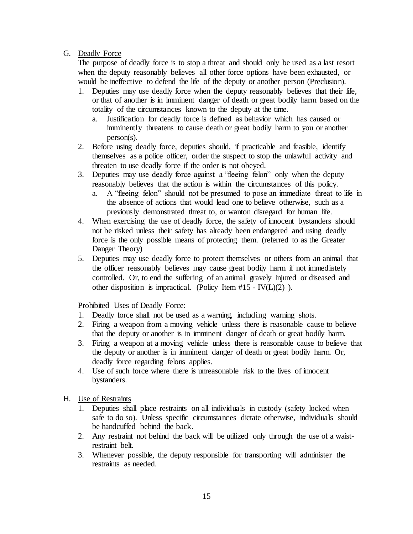## G. Deadly Force

The purpose of deadly force is to stop a threat and should only be used as a last resort when the deputy reasonably believes all other force options have been exhausted, or would be ineffective to defend the life of the deputy or another person (Preclusion).

- 1. Deputies may use deadly force when the deputy reasonably believes that their life, or that of another is in imminent danger of death or great bodily harm based on the totality of the circumstances known to the deputy at the time.
	- a. Justification for deadly force is defined as behavior which has caused or imminently threatens to cause death or great bodily harm to you or another person(s).
- 2. Before using deadly force, deputies should, if practicable and feasible, identify themselves as a police officer, order the suspect to stop the unlawful activity and threaten to use deadly force if the order is not obeyed.
- 3. Deputies may use deadly force against a "fleeing felon" only when the deputy reasonably believes that the action is within the circumstances of this policy.
	- a. A "fleeing felon" should not be presumed to pose an immediate threat to life in the absence of actions that would lead one to believe otherwise, such as a previously demonstrated threat to, or wanton disregard for human life.
- 4. When exercising the use of deadly force, the safety of innocent bystanders should not be risked unless their safety has already been endangered and using deadly force is the only possible means of protecting them. (referred to as the Greater Danger Theory)
- 5. Deputies may use deadly force to protect themselves or others from an animal that the officer reasonably believes may cause great bodily harm if not immediately controlled. Or, to end the suffering of an animal gravely injured or diseased and other disposition is impractical. (Policy Item  $#15 - IV(L)(2)$ ).

Prohibited Uses of Deadly Force:

- 1. Deadly force shall not be used as a warning, including warning shots.
- 2. Firing a weapon from a moving vehicle unless there is reasonable cause to believe that the deputy or another is in imminent danger of death or great bodily harm.
- 3. Firing a weapon at a moving vehicle unless there is reasonable cause to believe that the deputy or another is in imminent danger of death or great bodily harm. Or, deadly force regarding felons applies.
- 4. Use of such force where there is unreasonable risk to the lives of innocent bystanders.
- H. Use of Restraints
	- 1. Deputies shall place restraints on all individuals in custody (safety locked when safe to do so). Unless specific circumstances dictate otherwise, individuals should be handcuffed behind the back.
	- 2. Any restraint not behind the back will be utilized only through the use of a waistrestraint belt.
	- 3. Whenever possible, the deputy responsible for transporting will administer the restraints as needed.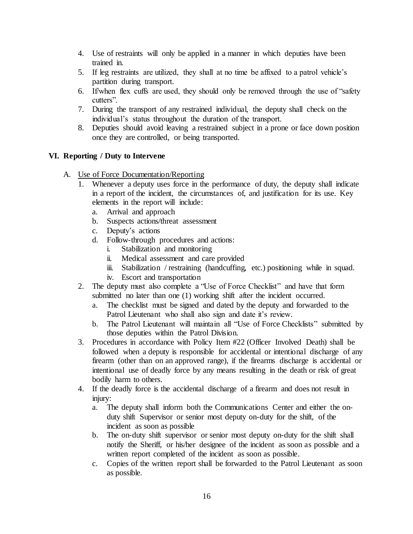- 4. Use of restraints will only be applied in a manner in which deputies have been trained in.
- 5. If leg restraints are utilized, they shall at no time be affixed to a patrol vehicle's partition during transport.
- 6. If/when flex cuffs are used, they should only be removed through the use of "safety cutters".
- 7. During the transport of any restrained individual, the deputy shall check on the individual's status throughout the duration of the transport.
- 8. Deputies should avoid leaving a restrained subject in a prone or face down position once they are controlled, or being transported.

# **VI. Reporting / Duty to Intervene**

- A. Use of Force Documentation/Reporting
	- 1. Whenever a deputy uses force in the performance of duty, the deputy shall indicate in a report of the incident, the circumstances of, and justification for its use. Key elements in the report will include:
		- a. Arrival and approach
		- b. Suspects actions/threat assessment
		- c. Deputy's actions
		- d. Follow-through procedures and actions:
			- i. Stabilization and monitoring
			- ii. Medical assessment and care provided
			- iii. Stabilization / restraining (handcuffing, etc.) positioning while in squad.
			- iv. Escort and transportation
	- 2. The deputy must also complete a "Use of Force Checklist" and have that form submitted no later than one (1) working shift after the incident occurred.
		- a. The checklist must be signed and dated by the deputy and forwarded to the Patrol Lieutenant who shall also sign and date it's review.
		- b. The Patrol Lieutenant will maintain all "Use of Force Checklists" submitted by those deputies within the Patrol Division.
	- 3. Procedures in accordance with Policy Item #22 (Officer Involved Death) shall be followed when a deputy is responsible for accidental or intentional discharge of any firearm (other than on an approved range), if the firearms discharge is accidental or intentional use of deadly force by any means resulting in the death or risk of great bodily harm to others.
	- 4. If the deadly force is the accidental discharge of a firearm and does not result in injury:
		- a. The deputy shall inform both the Communications Center and either the onduty shift Supervisor or senior most deputy on-duty for the shift, of the incident as soon as possible
		- b. The on-duty shift supervisor or senior most deputy on-duty for the shift shall notify the Sheriff, or his/her designee of the incident as soon as possible and a written report completed of the incident as soon as possible.
		- c. Copies of the written report shall be forwarded to the Patrol Lieutenant as soon as possible.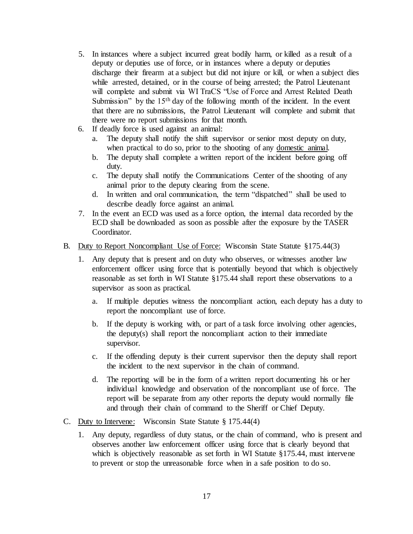- 5. In instances where a subject incurred great bodily harm, or killed as a result of a deputy or deputies use of force, or in instances where a deputy or deputies discharge their firearm at a subject but did not injure or kill, or when a subject dies while arrested, detained, or in the course of being arrested; the Patrol Lieutenant will complete and submit via WI TraCS "Use of Force and Arrest Related Death Submission" by the 15<sup>th</sup> day of the following month of the incident. In the event that there are no submissions, the Patrol Lieutenant will complete and submit that there were no report submissions for that month.
- 6. If deadly force is used against an animal:
	- a. The deputy shall notify the shift supervisor or senior most deputy on duty, when practical to do so, prior to the shooting of any domestic animal.
	- b. The deputy shall complete a written report of the incident before going off duty.
	- c. The deputy shall notify the Communications Center of the shooting of any animal prior to the deputy clearing from the scene.
	- d. In written and oral communication, the term "dispatched" shall be used to describe deadly force against an animal.
- 7. In the event an ECD was used as a force option, the internal data recorded by the ECD shall be downloaded as soon as possible after the exposure by the TASER Coordinator.
- B. Duty to Report Noncompliant Use of Force: Wisconsin State Statute §175.44(3)
	- 1. Any deputy that is present and on duty who observes, or witnesses another law enforcement officer using force that is potentially beyond that which is objectively reasonable as set forth in WI Statute §175.44 shall report these observations to a supervisor as soon as practical.
		- a. If multiple deputies witness the noncompliant action, each deputy has a duty to report the noncompliant use of force.
		- b. If the deputy is working with, or part of a task force involving other agencies, the deputy(s) shall report the noncompliant action to their immediate supervisor.
		- c. If the offending deputy is their current supervisor then the deputy shall report the incident to the next supervisor in the chain of command.
		- d. The reporting will be in the form of a written report documenting his or her individual knowledge and observation of the noncompliant use of force. The report will be separate from any other reports the deputy would normally file and through their chain of command to the Sheriff or Chief Deputy.
- C. Duty to Intervene: Wisconsin State Statute § 175.44(4)
	- 1. Any deputy, regardless of duty status, or the chain of command, who is present and observes another law enforcement officer using force that is clearly beyond that which is objectively reasonable as set forth in WI Statute §175.44, must intervene to prevent or stop the unreasonable force when in a safe position to do so.